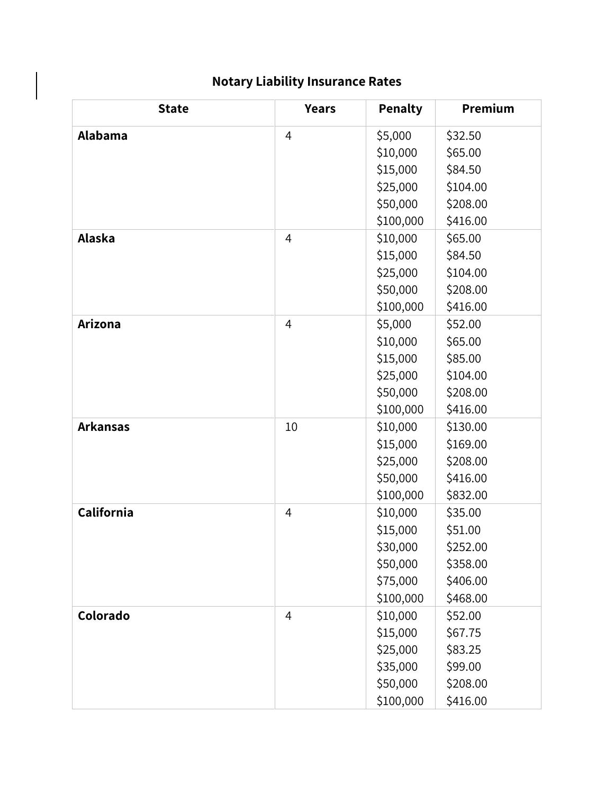## **Notary Liability Insurance Rates**

| <b>State</b>    | <b>Years</b>   | <b>Penalty</b> | Premium  |
|-----------------|----------------|----------------|----------|
| Alabama         | $\overline{4}$ | \$5,000        | \$32.50  |
|                 |                | \$10,000       | \$65.00  |
|                 |                | \$15,000       | \$84.50  |
|                 |                | \$25,000       | \$104.00 |
|                 |                | \$50,000       | \$208.00 |
|                 |                | \$100,000      | \$416.00 |
| Alaska          | $\overline{4}$ | \$10,000       | \$65.00  |
|                 |                | \$15,000       | \$84.50  |
|                 |                | \$25,000       | \$104.00 |
|                 |                | \$50,000       | \$208.00 |
|                 |                | \$100,000      | \$416.00 |
| <b>Arizona</b>  | $\overline{4}$ | \$5,000        | \$52.00  |
|                 |                | \$10,000       | \$65.00  |
|                 |                | \$15,000       | \$85.00  |
|                 |                | \$25,000       | \$104.00 |
|                 |                | \$50,000       | \$208.00 |
|                 |                | \$100,000      | \$416.00 |
| <b>Arkansas</b> | 10             | \$10,000       | \$130.00 |
|                 |                | \$15,000       | \$169.00 |
|                 |                | \$25,000       | \$208.00 |
|                 |                | \$50,000       | \$416.00 |
|                 |                | \$100,000      | \$832.00 |
| California      | 4              | \$10,000       | \$35.00  |
|                 |                | \$15,000       | \$51.00  |
|                 |                | \$30,000       | \$252.00 |
|                 |                | \$50,000       | \$358.00 |
|                 |                | \$75,000       | \$406.00 |
|                 |                | \$100,000      | \$468.00 |
| Colorado        | 4              | \$10,000       | \$52.00  |
|                 |                | \$15,000       | \$67.75  |
|                 |                | \$25,000       | \$83.25  |
|                 |                | \$35,000       | \$99.00  |
|                 |                | \$50,000       | \$208.00 |
|                 |                | \$100,000      | \$416.00 |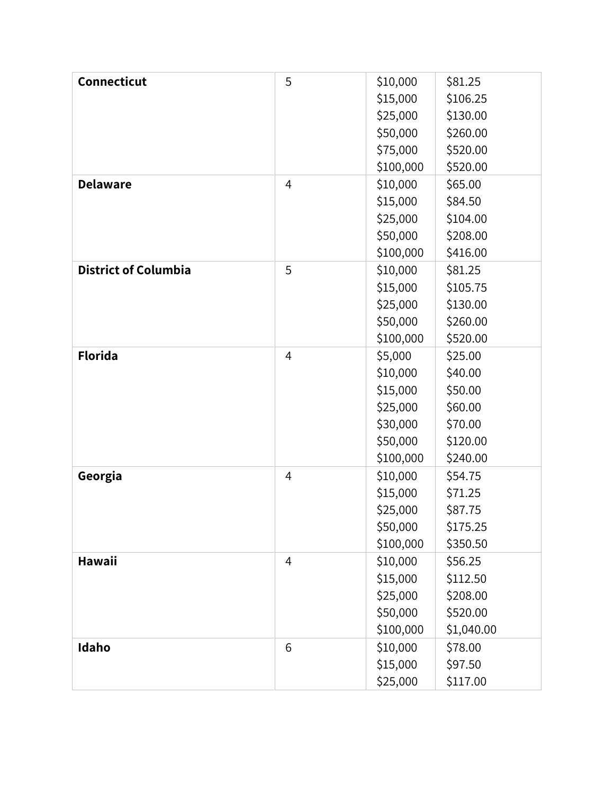| <b>Connecticut</b>          | 5              | \$10,000  | \$81.25    |
|-----------------------------|----------------|-----------|------------|
|                             |                | \$15,000  | \$106.25   |
|                             |                | \$25,000  | \$130.00   |
|                             |                | \$50,000  | \$260.00   |
|                             |                | \$75,000  | \$520.00   |
|                             |                | \$100,000 | \$520.00   |
| <b>Delaware</b>             | $\overline{4}$ | \$10,000  | \$65.00    |
|                             |                | \$15,000  | \$84.50    |
|                             |                | \$25,000  | \$104.00   |
|                             |                | \$50,000  | \$208.00   |
|                             |                | \$100,000 | \$416.00   |
| <b>District of Columbia</b> | 5              | \$10,000  | \$81.25    |
|                             |                | \$15,000  | \$105.75   |
|                             |                | \$25,000  | \$130.00   |
|                             |                | \$50,000  | \$260.00   |
|                             |                | \$100,000 | \$520.00   |
| <b>Florida</b>              | $\overline{4}$ | \$5,000   | \$25.00    |
|                             |                | \$10,000  | \$40.00    |
|                             |                | \$15,000  | \$50.00    |
|                             |                | \$25,000  | \$60.00    |
|                             |                | \$30,000  | \$70.00    |
|                             |                | \$50,000  | \$120.00   |
|                             |                | \$100,000 | \$240.00   |
| Georgia                     | $\overline{4}$ | \$10,000  | \$54.75    |
|                             |                | \$15,000  | \$71.25    |
|                             |                | \$25,000  | \$87.75    |
|                             |                | \$50,000  | \$175.25   |
|                             |                | \$100,000 | \$350.50   |
| Hawaii                      | 4              | \$10,000  | \$56.25    |
|                             |                | \$15,000  | \$112.50   |
|                             |                | \$25,000  | \$208.00   |
|                             |                | \$50,000  | \$520.00   |
|                             |                | \$100,000 | \$1,040.00 |
| Idaho                       | 6              | \$10,000  | \$78.00    |
|                             |                | \$15,000  | \$97.50    |
|                             |                | \$25,000  | \$117.00   |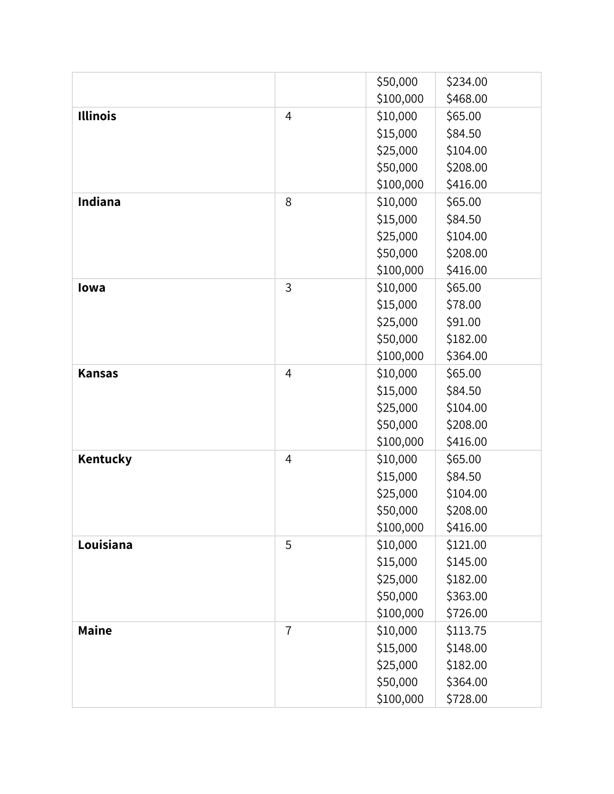|                 |                | \$50,000  | \$234.00 |
|-----------------|----------------|-----------|----------|
|                 |                | \$100,000 | \$468.00 |
| <b>Illinois</b> | $\overline{4}$ | \$10,000  | \$65.00  |
|                 |                | \$15,000  | \$84.50  |
|                 |                | \$25,000  | \$104.00 |
|                 |                | \$50,000  | \$208.00 |
|                 |                | \$100,000 | \$416.00 |
| Indiana         | 8              | \$10,000  | \$65.00  |
|                 |                | \$15,000  | \$84.50  |
|                 |                | \$25,000  | \$104.00 |
|                 |                | \$50,000  | \$208.00 |
|                 |                | \$100,000 | \$416.00 |
| lowa            | $\overline{3}$ | \$10,000  | \$65.00  |
|                 |                | \$15,000  | \$78.00  |
|                 |                | \$25,000  | \$91.00  |
|                 |                | \$50,000  | \$182.00 |
|                 |                | \$100,000 | \$364.00 |
| <b>Kansas</b>   | $\overline{4}$ | \$10,000  | \$65.00  |
|                 |                | \$15,000  | \$84.50  |
|                 |                | \$25,000  | \$104.00 |
|                 |                | \$50,000  | \$208.00 |
|                 |                | \$100,000 | \$416.00 |
| Kentucky        | $\overline{4}$ | \$10,000  | \$65.00  |
|                 |                | \$15,000  | \$84.50  |
|                 |                | \$25,000  | \$104.00 |
|                 |                | \$50,000  | \$208.00 |
|                 |                | \$100,000 | \$416.00 |
| Louisiana       | 5              | \$10,000  | \$121.00 |
|                 |                | \$15,000  | \$145.00 |
|                 |                | \$25,000  | \$182.00 |
|                 |                | \$50,000  | \$363.00 |
|                 |                | \$100,000 | \$726.00 |
| <b>Maine</b>    | $\overline{1}$ | \$10,000  | \$113.75 |
|                 |                | \$15,000  | \$148.00 |
|                 |                | \$25,000  | \$182.00 |
|                 |                | \$50,000  | \$364.00 |
|                 |                | \$100,000 | \$728.00 |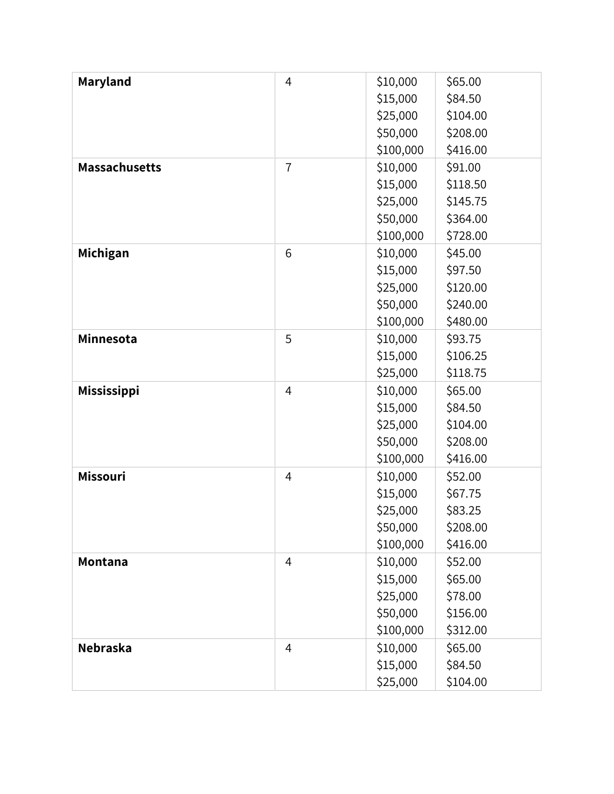| Maryland             | $\overline{4}$ | \$10,000  | \$65.00  |
|----------------------|----------------|-----------|----------|
|                      |                | \$15,000  | \$84.50  |
|                      |                | \$25,000  | \$104.00 |
|                      |                | \$50,000  | \$208.00 |
|                      |                | \$100,000 | \$416.00 |
| <b>Massachusetts</b> | $\overline{7}$ | \$10,000  | \$91.00  |
|                      |                | \$15,000  | \$118.50 |
|                      |                | \$25,000  | \$145.75 |
|                      |                | \$50,000  | \$364.00 |
|                      |                | \$100,000 | \$728.00 |
| Michigan             | 6              | \$10,000  | \$45.00  |
|                      |                | \$15,000  | \$97.50  |
|                      |                | \$25,000  | \$120.00 |
|                      |                | \$50,000  | \$240.00 |
|                      |                | \$100,000 | \$480.00 |
| Minnesota            | 5              | \$10,000  | \$93.75  |
|                      |                | \$15,000  | \$106.25 |
|                      |                | \$25,000  | \$118.75 |
| Mississippi          | $\overline{4}$ | \$10,000  | \$65.00  |
|                      |                | \$15,000  | \$84.50  |
|                      |                | \$25,000  | \$104.00 |
|                      |                | \$50,000  | \$208.00 |
|                      |                | \$100,000 | \$416.00 |
| <b>Missouri</b>      | $\overline{4}$ | \$10,000  | \$52.00  |
|                      |                | \$15,000  | \$67.75  |
|                      |                | \$25,000  | \$83.25  |
|                      |                | \$50,000  | \$208.00 |
|                      |                | \$100,000 | \$416.00 |
| Montana              | $\overline{4}$ | \$10,000  | \$52.00  |
|                      |                | \$15,000  | \$65.00  |
|                      |                | \$25,000  | \$78.00  |
|                      |                | \$50,000  | \$156.00 |
|                      |                | \$100,000 | \$312.00 |
| Nebraska             | $\overline{4}$ | \$10,000  | \$65.00  |
|                      |                | \$15,000  | \$84.50  |
|                      |                | \$25,000  | \$104.00 |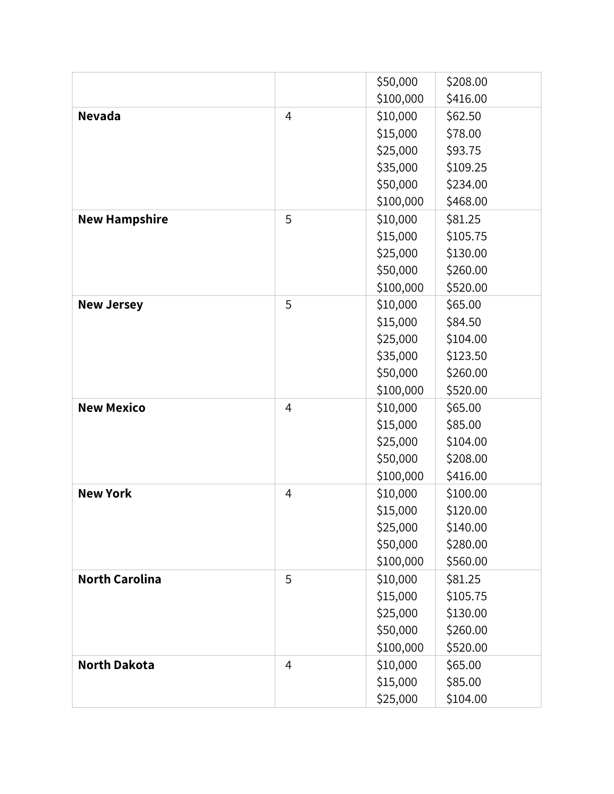|                       |                | \$50,000  | \$208.00 |
|-----------------------|----------------|-----------|----------|
|                       |                | \$100,000 | \$416.00 |
| <b>Nevada</b>         | $\overline{4}$ | \$10,000  | \$62.50  |
|                       |                | \$15,000  | \$78.00  |
|                       |                | \$25,000  | \$93.75  |
|                       |                | \$35,000  | \$109.25 |
|                       |                | \$50,000  | \$234.00 |
|                       |                | \$100,000 | \$468.00 |
| <b>New Hampshire</b>  | 5              | \$10,000  | \$81.25  |
|                       |                | \$15,000  | \$105.75 |
|                       |                | \$25,000  | \$130.00 |
|                       |                | \$50,000  | \$260.00 |
|                       |                | \$100,000 | \$520.00 |
| <b>New Jersey</b>     | 5              | \$10,000  | \$65.00  |
|                       |                | \$15,000  | \$84.50  |
|                       |                | \$25,000  | \$104.00 |
|                       |                | \$35,000  | \$123.50 |
|                       |                | \$50,000  | \$260.00 |
|                       |                | \$100,000 | \$520.00 |
| <b>New Mexico</b>     | $\overline{4}$ | \$10,000  | \$65.00  |
|                       |                | \$15,000  | \$85.00  |
|                       |                | \$25,000  | \$104.00 |
|                       |                | \$50,000  | \$208.00 |
|                       |                | \$100,000 | \$416.00 |
| <b>New York</b>       | $\overline{4}$ | \$10,000  | \$100.00 |
|                       |                | \$15,000  | \$120.00 |
|                       |                | \$25,000  | \$140.00 |
|                       |                | \$50,000  | \$280.00 |
|                       |                | \$100,000 | \$560.00 |
| <b>North Carolina</b> | 5              | \$10,000  | \$81.25  |
|                       |                | \$15,000  | \$105.75 |
|                       |                | \$25,000  | \$130.00 |
|                       |                | \$50,000  | \$260.00 |
|                       |                | \$100,000 | \$520.00 |
| <b>North Dakota</b>   | 4              | \$10,000  | \$65.00  |
|                       |                | \$15,000  | \$85.00  |
|                       |                | \$25,000  | \$104.00 |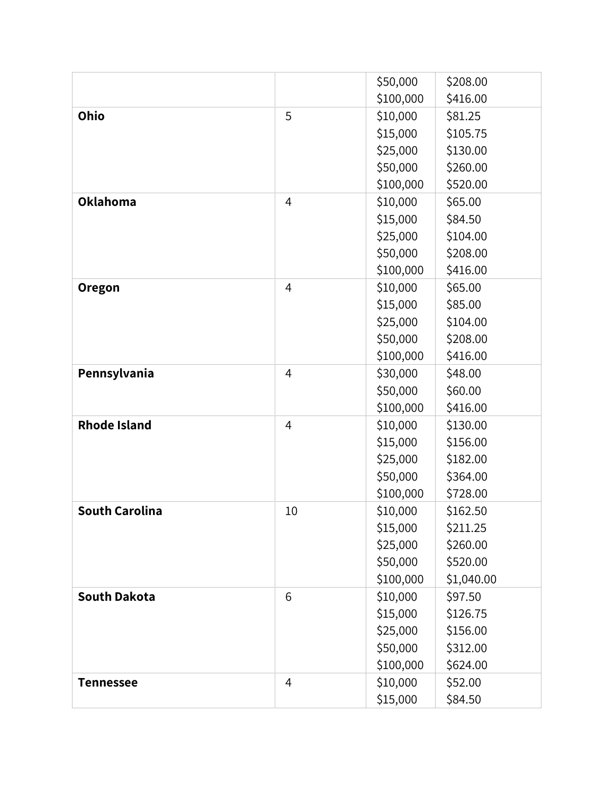|                       |                | \$50,000  | \$208.00   |
|-----------------------|----------------|-----------|------------|
|                       |                | \$100,000 | \$416.00   |
| Ohio                  | 5              | \$10,000  | \$81.25    |
|                       |                | \$15,000  | \$105.75   |
|                       |                | \$25,000  | \$130.00   |
|                       |                | \$50,000  | \$260.00   |
|                       |                | \$100,000 | \$520.00   |
| <b>Oklahoma</b>       | $\overline{4}$ | \$10,000  | \$65.00    |
|                       |                | \$15,000  | \$84.50    |
|                       |                | \$25,000  | \$104.00   |
|                       |                | \$50,000  | \$208.00   |
|                       |                | \$100,000 | \$416.00   |
| <b>Oregon</b>         | $\overline{4}$ | \$10,000  | \$65.00    |
|                       |                | \$15,000  | \$85.00    |
|                       |                | \$25,000  | \$104.00   |
|                       |                | \$50,000  | \$208.00   |
|                       |                | \$100,000 | \$416.00   |
| Pennsylvania          | $\overline{4}$ | \$30,000  | \$48.00    |
|                       |                | \$50,000  | \$60.00    |
|                       |                | \$100,000 | \$416.00   |
| <b>Rhode Island</b>   | $\overline{4}$ | \$10,000  | \$130.00   |
|                       |                | \$15,000  | \$156.00   |
|                       |                | \$25,000  | \$182.00   |
|                       |                | \$50,000  | \$364.00   |
|                       |                | \$100,000 | \$728.00   |
| <b>South Carolina</b> | 10             | \$10,000  | \$162.50   |
|                       |                | \$15,000  | \$211.25   |
|                       |                | \$25,000  | \$260.00   |
|                       |                | \$50,000  | \$520.00   |
|                       |                | \$100,000 | \$1,040.00 |
| <b>South Dakota</b>   | 6              | \$10,000  | \$97.50    |
|                       |                | \$15,000  | \$126.75   |
|                       |                | \$25,000  | \$156.00   |
|                       |                | \$50,000  | \$312.00   |
|                       |                | \$100,000 | \$624.00   |
| <b>Tennessee</b>      | 4              | \$10,000  | \$52.00    |
|                       |                | \$15,000  | \$84.50    |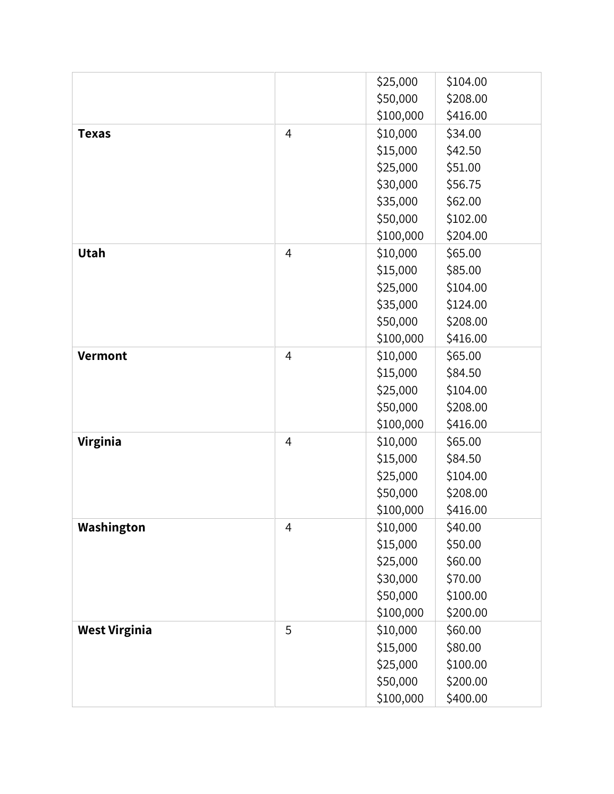|                      |                | \$25,000  | \$104.00 |
|----------------------|----------------|-----------|----------|
|                      |                | \$50,000  | \$208.00 |
|                      |                | \$100,000 | \$416.00 |
| <b>Texas</b>         | $\overline{4}$ | \$10,000  | \$34.00  |
|                      |                | \$15,000  | \$42.50  |
|                      |                | \$25,000  | \$51.00  |
|                      |                | \$30,000  | \$56.75  |
|                      |                | \$35,000  | \$62.00  |
|                      |                | \$50,000  | \$102.00 |
|                      |                | \$100,000 | \$204.00 |
| Utah                 | $\overline{4}$ | \$10,000  | \$65.00  |
|                      |                | \$15,000  | \$85.00  |
|                      |                | \$25,000  | \$104.00 |
|                      |                | \$35,000  | \$124.00 |
|                      |                | \$50,000  | \$208.00 |
|                      |                | \$100,000 | \$416.00 |
| <b>Vermont</b>       | $\overline{4}$ | \$10,000  | \$65.00  |
|                      |                | \$15,000  | \$84.50  |
|                      |                | \$25,000  | \$104.00 |
|                      |                | \$50,000  | \$208.00 |
|                      |                | \$100,000 | \$416.00 |
| Virginia             | $\overline{4}$ | \$10,000  | \$65.00  |
|                      |                | \$15,000  | \$84.50  |
|                      |                | \$25,000  | \$104.00 |
|                      |                | \$50,000  | \$208.00 |
|                      |                | \$100,000 | \$416.00 |
| Washington           | 4              | \$10,000  | \$40.00  |
|                      |                | \$15,000  | \$50.00  |
|                      |                | \$25,000  | \$60.00  |
|                      |                | \$30,000  | \$70.00  |
|                      |                | \$50,000  | \$100.00 |
|                      |                | \$100,000 | \$200.00 |
| <b>West Virginia</b> | 5              | \$10,000  | \$60.00  |
|                      |                | \$15,000  | \$80.00  |
|                      |                | \$25,000  | \$100.00 |
|                      |                | \$50,000  | \$200.00 |
|                      |                | \$100,000 | \$400.00 |